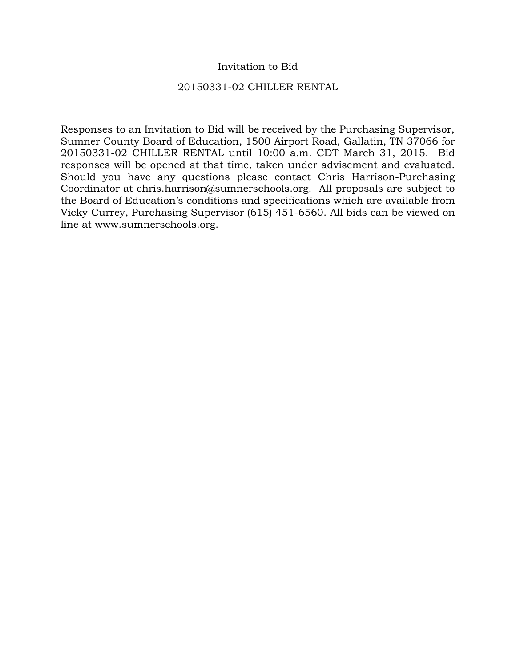## Invitation to Bid

### 20150331-02 CHILLER RENTAL

Responses to an Invitation to Bid will be received by the Purchasing Supervisor, Sumner County Board of Education, 1500 Airport Road, Gallatin, TN 37066 for 20150331-02 CHILLER RENTAL until 10:00 a.m. CDT March 31, 2015. Bid responses will be opened at that time, taken under advisement and evaluated. Should you have any questions please contact Chris Harrison-Purchasing Coordinator at chris.harrison@sumnerschools.org. All proposals are subject to the Board of Education's conditions and specifications which are available from Vicky Currey, Purchasing Supervisor (615) 451-6560. All bids can be viewed on line at www.sumnerschools.org.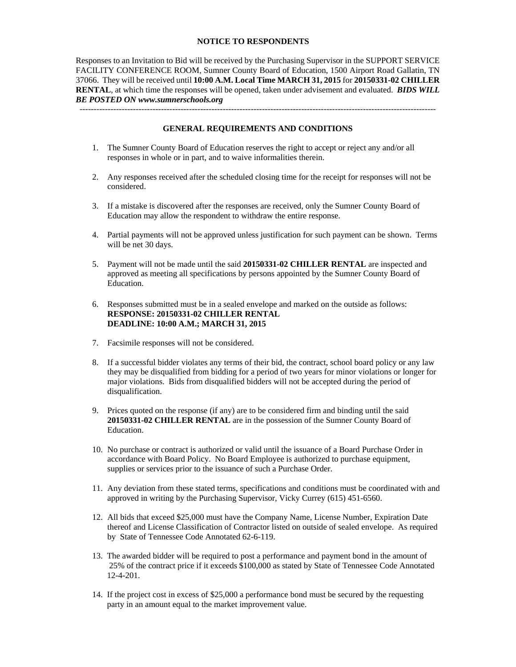#### **NOTICE TO RESPONDENTS**

Responses to an Invitation to Bid will be received by the Purchasing Supervisor in the SUPPORT SERVICE FACILITY CONFERENCE ROOM, Sumner County Board of Education, 1500 Airport Road Gallatin, TN 37066. They will be received until **10:00 A.M. Local Time MARCH 31, 2015** for **20150331-02 CHILLER RENTAL**, at which time the responses will be opened, taken under advisement and evaluated. *BIDS WILL BE POSTED ON www.sumnerschools.org* 

**GENERAL REQUIREMENTS AND CONDITIONS** 

-------------------------------------------------------------------------------------------------------------------------------

- 1. The Sumner County Board of Education reserves the right to accept or reject any and/or all responses in whole or in part, and to waive informalities therein.
- 2. Any responses received after the scheduled closing time for the receipt for responses will not be considered.
- 3. If a mistake is discovered after the responses are received, only the Sumner County Board of Education may allow the respondent to withdraw the entire response.
- 4. Partial payments will not be approved unless justification for such payment can be shown. Terms will be net 30 days.
- 5. Payment will not be made until the said **20150331-02 CHILLER RENTAL** are inspected and approved as meeting all specifications by persons appointed by the Sumner County Board of Education.
- 6. Responses submitted must be in a sealed envelope and marked on the outside as follows: **RESPONSE: 20150331-02 CHILLER RENTAL DEADLINE: 10:00 A.M.; MARCH 31, 2015**
- 7. Facsimile responses will not be considered.
- 8. If a successful bidder violates any terms of their bid, the contract, school board policy or any law they may be disqualified from bidding for a period of two years for minor violations or longer for major violations. Bids from disqualified bidders will not be accepted during the period of disqualification.
- 9. Prices quoted on the response (if any) are to be considered firm and binding until the said **20150331-02 CHILLER RENTAL** are in the possession of the Sumner County Board of Education.
- 10. No purchase or contract is authorized or valid until the issuance of a Board Purchase Order in accordance with Board Policy. No Board Employee is authorized to purchase equipment, supplies or services prior to the issuance of such a Purchase Order.
- 11. Any deviation from these stated terms, specifications and conditions must be coordinated with and approved in writing by the Purchasing Supervisor, Vicky Currey (615) 451-6560.
- 12. All bids that exceed \$25,000 must have the Company Name, License Number, Expiration Date thereof and License Classification of Contractor listed on outside of sealed envelope. As required by State of Tennessee Code Annotated 62-6-119.
- 13. The awarded bidder will be required to post a performance and payment bond in the amount of 25% of the contract price if it exceeds \$100,000 as stated by State of Tennessee Code Annotated 12-4-201.
- 14. If the project cost in excess of \$25,000 a performance bond must be secured by the requesting party in an amount equal to the market improvement value.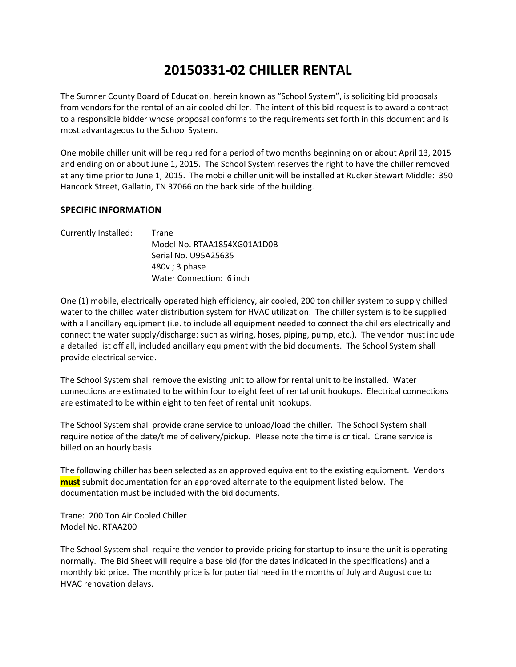# **20150331‐02 CHILLER RENTAL**

The Sumner County Board of Education, herein known as "School System", is soliciting bid proposals from vendors for the rental of an air cooled chiller. The intent of this bid request is to award a contract to a responsible bidder whose proposal conforms to the requirements set forth in this document and is most advantageous to the School System.

One mobile chiller unit will be required for a period of two months beginning on or about April 13, 2015 and ending on or about June 1, 2015. The School System reserves the right to have the chiller removed at any time prior to June 1, 2015. The mobile chiller unit will be installed at Rucker Stewart Middle: 350 Hancock Street, Gallatin, TN 37066 on the back side of the building.

### **SPECIFIC INFORMATION**

| Currently Installed: | Trane                       |
|----------------------|-----------------------------|
|                      | Model No. RTAA1854XG01A1D0B |
|                      | Serial No. U95A25635        |
|                      | 480v; 3 phase               |
|                      | Water Connection: 6 inch    |
|                      |                             |

One (1) mobile, electrically operated high efficiency, air cooled, 200 ton chiller system to supply chilled water to the chilled water distribution system for HVAC utilization. The chiller system is to be supplied with all ancillary equipment (i.e. to include all equipment needed to connect the chillers electrically and connect the water supply/discharge: such as wiring, hoses, piping, pump, etc.). The vendor must include a detailed list off all, included ancillary equipment with the bid documents. The School System shall provide electrical service.

The School System shall remove the existing unit to allow for rental unit to be installed. Water connections are estimated to be within four to eight feet of rental unit hookups. Electrical connections are estimated to be within eight to ten feet of rental unit hookups.

The School System shall provide crane service to unload/load the chiller. The School System shall require notice of the date/time of delivery/pickup. Please note the time is critical. Crane service is billed on an hourly basis.

The following chiller has been selected as an approved equivalent to the existing equipment. Vendors **must** submit documentation for an approved alternate to the equipment listed below. The documentation must be included with the bid documents.

Trane: 200 Ton Air Cooled Chiller Model No. RTAA200

The School System shall require the vendor to provide pricing for startup to insure the unit is operating normally. The Bid Sheet will require a base bid (for the dates indicated in the specifications) and a monthly bid price. The monthly price is for potential need in the months of July and August due to HVAC renovation delays.